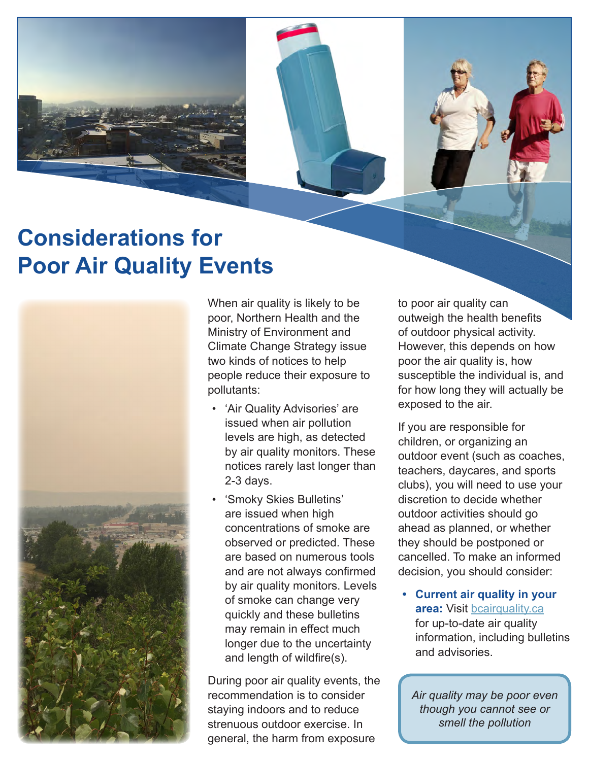

## **Considerations for Poor Air Quality Events**



When air quality is likely to be poor, Northern Health and the Ministry of Environment and Climate Change Strategy issue two kinds of notices to help people reduce their exposure to pollutants:

- 'Air Quality Advisories' are issued when air pollution levels are high, as detected by air quality monitors. These notices rarely last longer than 2-3 days.
- 'Smoky Skies Bulletins' are issued when high concentrations of smoke are observed or predicted. These are based on numerous tools and are not always confirmed by air quality monitors. Levels of smoke can change very quickly and these bulletins may remain in effect much longer due to the uncertainty and length of wildfire(s).

During poor air quality events, the recommendation is to consider staying indoors and to reduce strenuous outdoor exercise. In general, the harm from exposure

to poor air quality can outweigh the health benefits of outdoor physical activity. However, this depends on how poor the air quality is, how susceptible the individual is, and for how long they will actually be exposed to the air.

If you are responsible for children, or organizing an outdoor event (such as coaches, teachers, daycares, and sports clubs), you will need to use your discretion to decide whether outdoor activities should go ahead as planned, or whether they should be postponed or cancelled. To make an informed decision, you should consider:

**• Current air quality in your area:** Visit [bcairquality.ca](http://www2.gov.bc.ca/gov/content/environment/air-land-water/air) for up-to-date air quality information, including bulletins and advisories.

*Air quality may be poor even though you cannot see or smell the pollution*